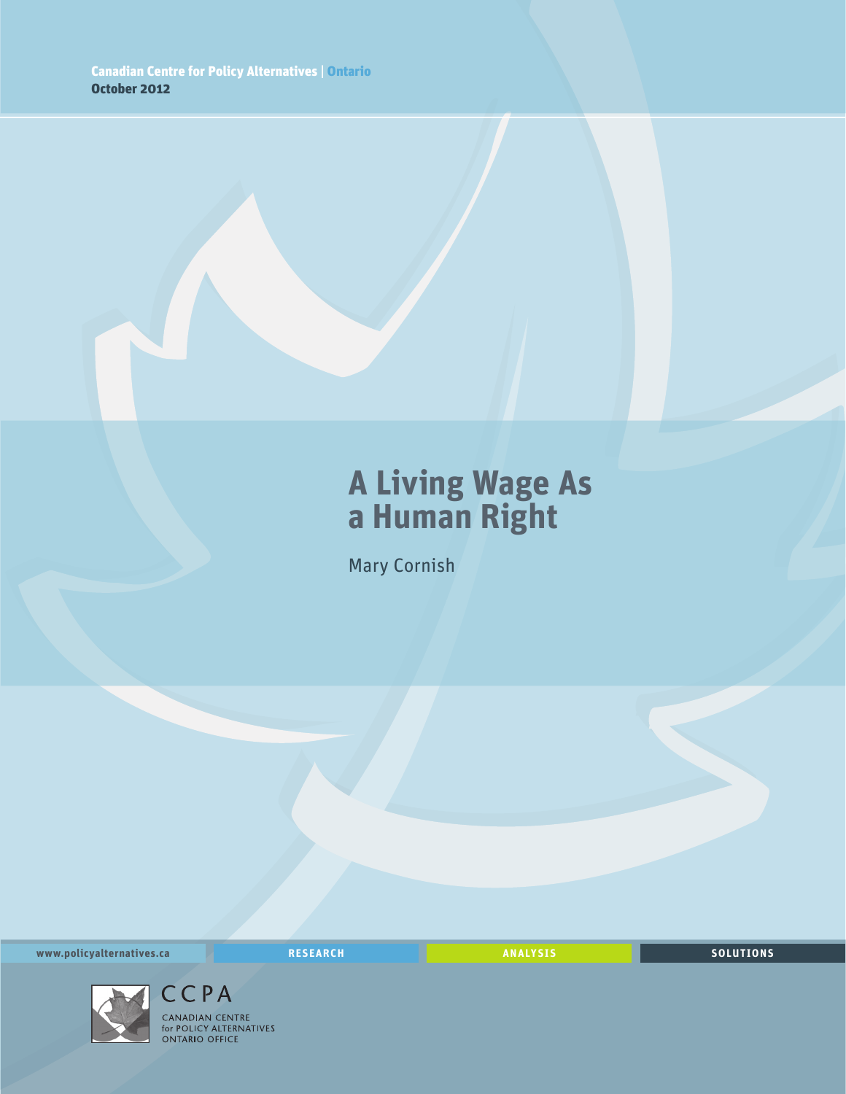## **A Living Wage As a Human Right**

Mary Cornish

**www.policyalternatives.ca** <mark>RESEARCH</mark> ANALYSIS SOLUTIONS



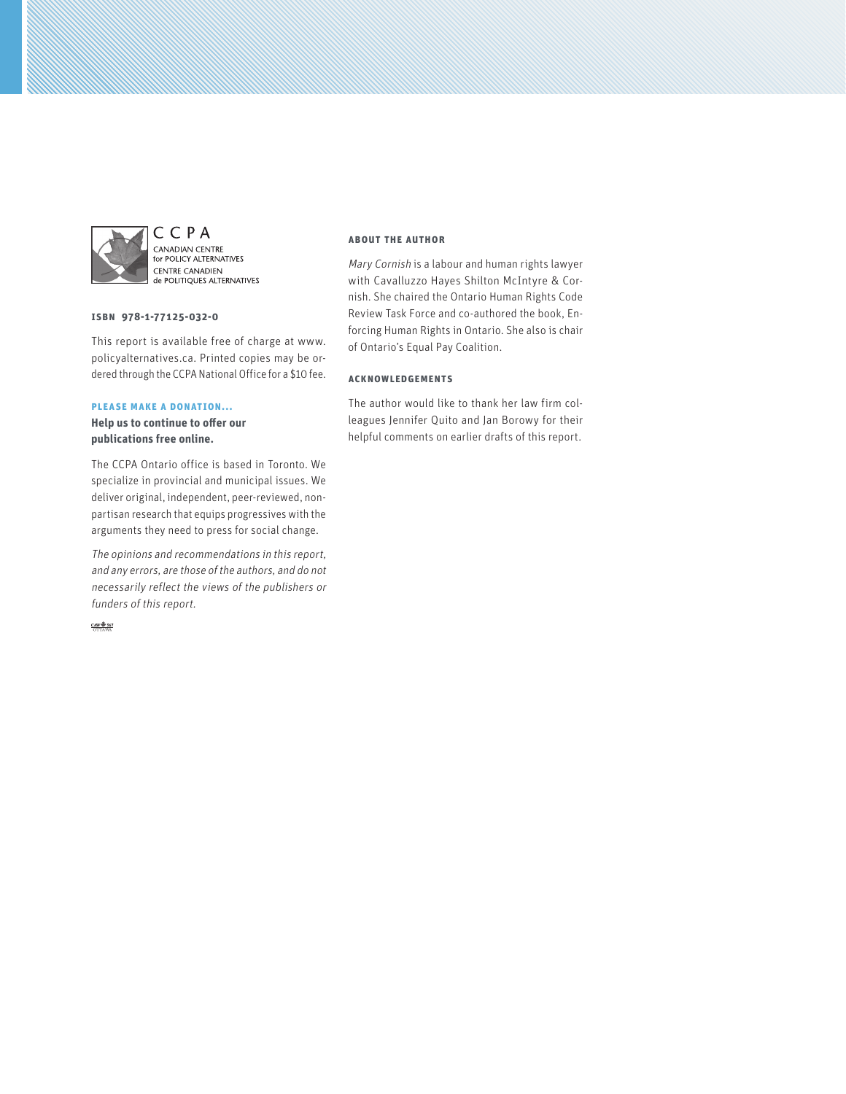

C C P A CANADIAN CENTRE<br>for POLICY ALTERNATIVES **CENTRE CANADIEN** de POLITIQUES ALTERNATIVES

#### **ISBN 978-1-77125-032-0**

This report is available free of charge at www. policyalternatives.ca. Printed copies may be ordered through the CCPA National Office for a \$10 fee.

#### **Please make a donation...**

**Help us to continue to offer our publications free online.**

The CCPA Ontario office is based in Toronto. We specialize in provincial and municipal issues. We deliver original, independent, peer-reviewed, nonpartisan research that equips progressives with the arguments they need to press for social change.

The opinions and recommendations in this report, and any errors, are those of the authors, and do not necessarily reflect the views of the publishers or funders of this report.

 $CAN \frac{4}{\sqrt{114 \Delta M^2}}$ 

#### **About the author**

Mary Cornish is a labour and human rights lawyer with Cavalluzzo Hayes Shilton McIntyre & Cornish. She chaired the Ontario Human Rights Code Review Task Force and co-authored the book, Enforcing Human Rights in Ontario. She also is chair of Ontario's Equal Pay Coalition.

#### **Acknowledgements**

The author would like to thank her law firm colleagues Jennifer Quito and Jan Borowy for their helpful comments on earlier drafts of this report.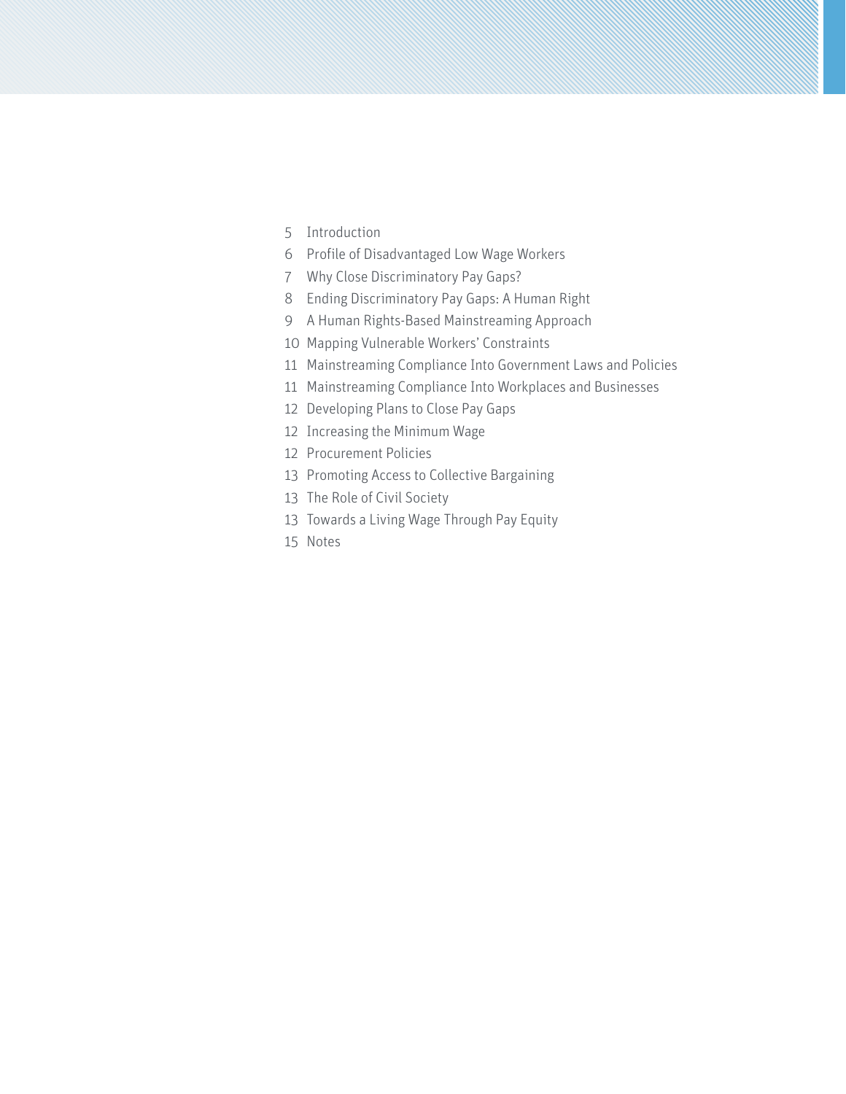- [Introduction](#page-4-0)
- [Profile of Disadvantaged Low Wage Workers](#page-5-0)
- [Why Close Discriminatory Pay Gaps?](#page-6-0)
- [Ending Discriminatory Pay Gaps: A Human Right](#page-7-0)
- [A Human Rights-Based Mainstreaming Approach](#page-8-0)
- [Mapping Vulnerable Workers' Constraints](#page-9-0)
- [Mainstreaming Compliance Into Government Laws and Policies](#page-10-0)
- [Mainstreaming Compliance Into Workplaces and Businesses](#page-10-0)
- [Developing Plans to Close Pay Gaps](#page-11-0)
- [Increasing the Minimum Wage](#page-11-0)
- [Procurement Policies](#page-11-0)
- [Promoting Access to Collective Bargaining](#page-12-0)
- [The Role of Civil Society](#page-12-0)
- [Towards a Living Wage Through Pay Equity](#page-12-0)
- Notes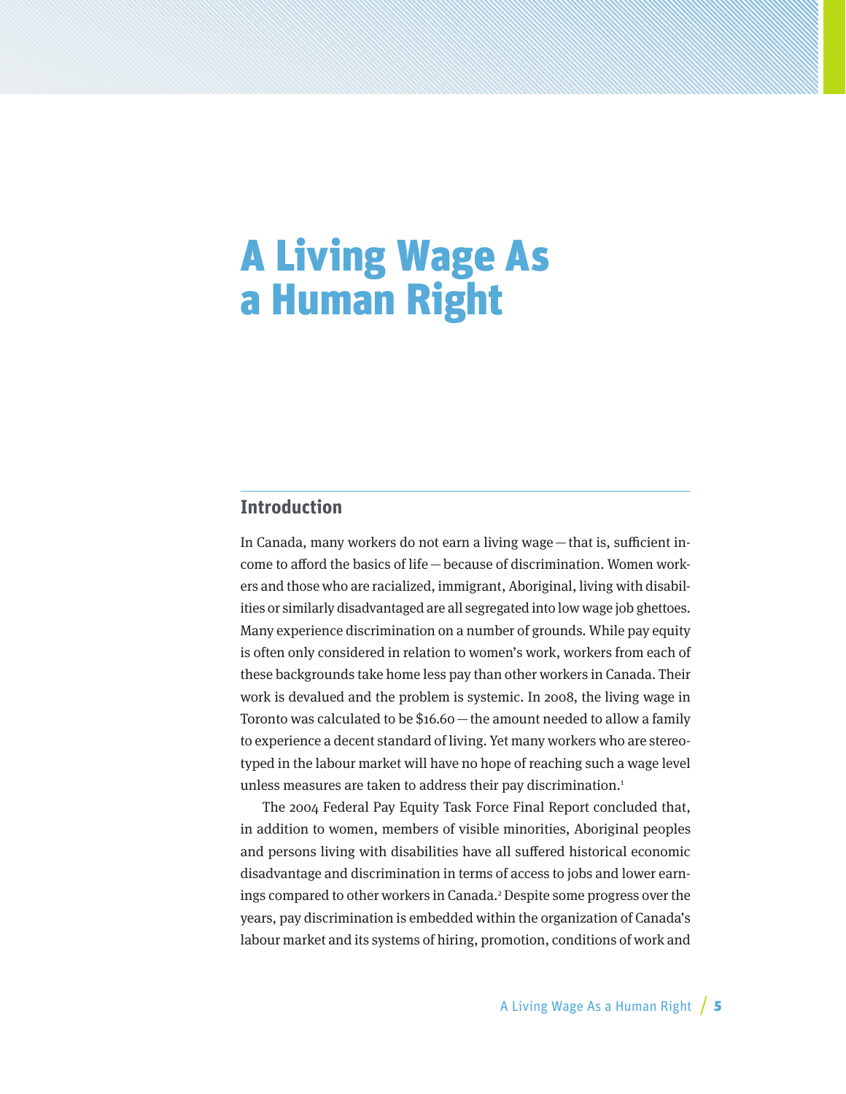# <span id="page-4-0"></span>A Living Wage As a Human Right

#### **Introduction**

In Canada, many workers do not earn a living wage—that is, sufficient income to afford the basics of life—because of discrimination. Women workers and those who are racialized, immigrant, Aboriginal, living with disabilities or similarly disadvantaged are all segregated into low wage job ghettoes. Many experience discrimination on a number of grounds. While pay equity is often only considered in relation to women's work, workers from each of these backgrounds take home less pay than other workers in Canada. Their work is devalued and the problem is systemic. In 2008, the living wage in Toronto was calculated to be  $$16.60$  – the amount needed to allow a family to experience a decent standard of living. Yet many workers who are stereotyped in the labour market will have no hope of reaching such a wage level unless measures are taken to address their pay discrimination.<sup>1</sup>

The 2004 Federal Pay Equity Task Force Final Report concluded that, in addition to women, members of visible minorities, Aboriginal peoples and persons living with disabilities have all suffered historical economic disadvantage and discrimination in terms of access to jobs and lower earnings compared to other workers in Canada.2 Despite some progress over the years, pay discrimination is embedded within the organization of Canada's labour market and its systems of hiring, promotion, conditions of work and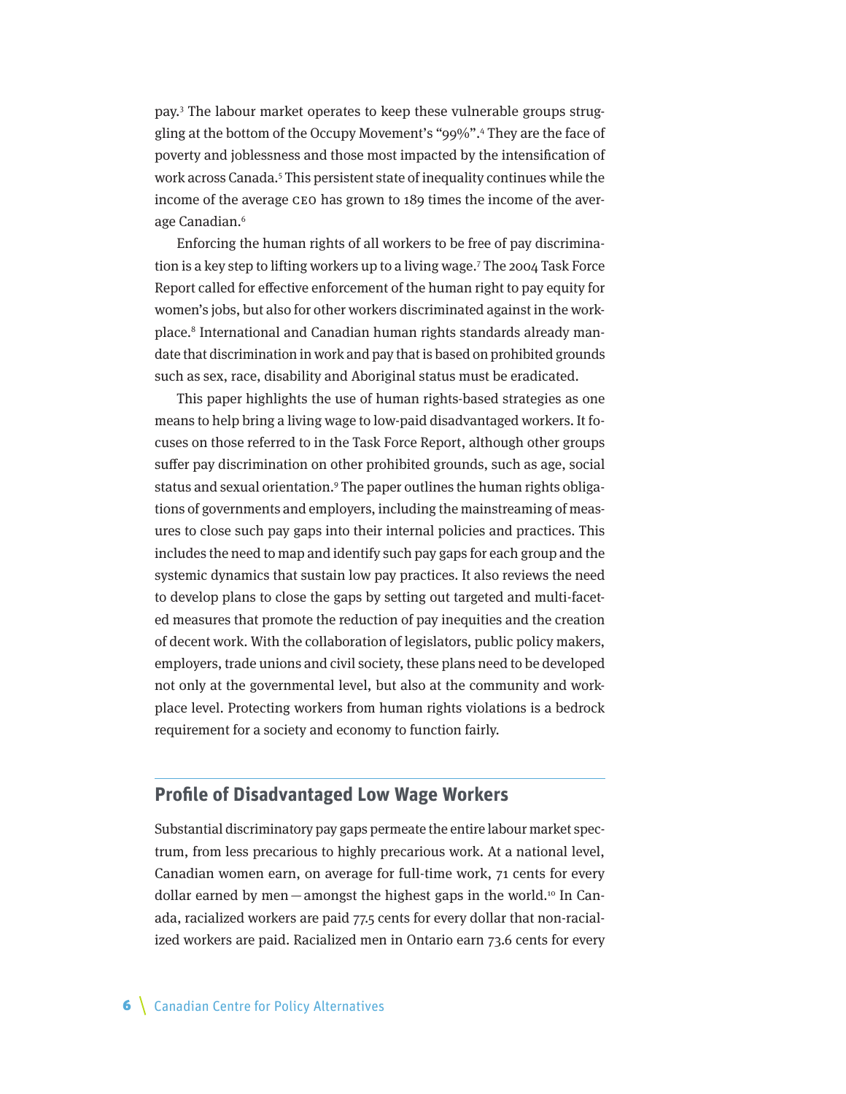<span id="page-5-0"></span>pay.3 The labour market operates to keep these vulnerable groups struggling at the bottom of the Occupy Movement's "99%".4 They are the face of poverty and joblessness and those most impacted by the intensification of work across Canada.<sup>5</sup> This persistent state of inequality continues while the income of the average CEO has grown to 189 times the income of the average Canadian.<sup>6</sup>

Enforcing the human rights of all workers to be free of pay discrimination is a key step to lifting workers up to a living wage.7 The 2004 Task Force Report called for effective enforcement of the human right to pay equity for women's jobs, but also for other workers discriminated against in the workplace.8 International and Canadian human rights standards already mandate that discrimination in work and pay that is based on prohibited grounds such as sex, race, disability and Aboriginal status must be eradicated.

This paper highlights the use of human rights-based strategies as one means to help bring a living wage to low-paid disadvantaged workers. It focuses on those referred to in the Task Force Report, although other groups suffer pay discrimination on other prohibited grounds, such as age, social status and sexual orientation.9 The paper outlines the human rights obligations of governments and employers, including the mainstreaming of measures to close such pay gaps into their internal policies and practices. This includes the need to map and identify such pay gaps for each group and the systemic dynamics that sustain low pay practices. It also reviews the need to develop plans to close the gaps by setting out targeted and multi-faceted measures that promote the reduction of pay inequities and the creation of decent work. With the collaboration of legislators, public policy makers, employers, trade unions and civil society, these plans need to be developed not only at the governmental level, but also at the community and workplace level. Protecting workers from human rights violations is a bedrock requirement for a society and economy to function fairly.

#### **Profile of Disadvantaged Low Wage Workers**

Substantial discriminatory pay gaps permeate the entire labour market spectrum, from less precarious to highly precarious work. At a national level, Canadian women earn, on average for full-time work, 71 cents for every dollar earned by men—amongst the highest gaps in the world.<sup>10</sup> In Canada, racialized workers are paid 77.5 cents for every dollar that non-racialized workers are paid. Racialized men in Ontario earn 73.6 cents for every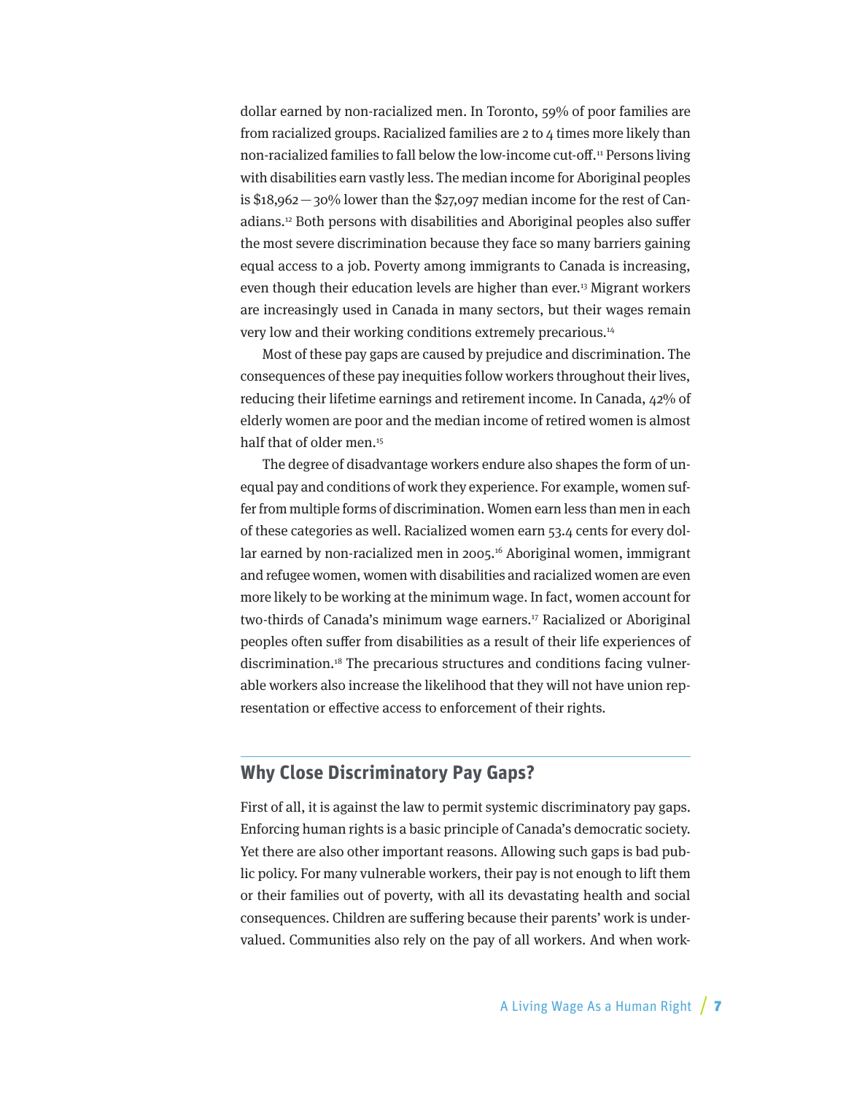<span id="page-6-0"></span>dollar earned by non-racialized men. In Toronto, 59% of poor families are from racialized groups. Racialized families are  $2$  to  $4$  times more likely than non-racialized families to fall below the low-income cut-off.11 Persons living with disabilities earn vastly less. The median income for Aboriginal peoples is \$18,962—30% lower than the \$27,097 median income for the rest of Canadians.12 Both persons with disabilities and Aboriginal peoples also suffer the most severe discrimination because they face so many barriers gaining equal access to a job. Poverty among immigrants to Canada is increasing, even though their education levels are higher than ever.<sup>13</sup> Migrant workers are increasingly used in Canada in many sectors, but their wages remain very low and their working conditions extremely precarious.14

Most of these pay gaps are caused by prejudice and discrimination. The consequences of these pay inequities follow workers throughout their lives, reducing their lifetime earnings and retirement income. In Canada, 42% of elderly women are poor and the median income of retired women is almost half that of older men.15

The degree of disadvantage workers endure also shapes the form of unequal pay and conditions of work they experience. For example, women suffer from multiple forms of discrimination. Women earn less than men in each of these categories as well. Racialized women earn 53.4 cents for every dollar earned by non-racialized men in 2005.<sup>16</sup> Aboriginal women, immigrant and refugee women, women with disabilities and racialized women are even more likely to be working at the minimum wage. In fact, women account for two-thirds of Canada's minimum wage earners.17 Racialized or Aboriginal peoples often suffer from disabilities as a result of their life experiences of discrimination.18 The precarious structures and conditions facing vulnerable workers also increase the likelihood that they will not have union representation or effective access to enforcement of their rights.

#### **Why Close Discriminatory Pay Gaps?**

First of all, it is against the law to permit systemic discriminatory pay gaps. Enforcing human rights is a basic principle of Canada's democratic society. Yet there are also other important reasons. Allowing such gaps is bad public policy. For many vulnerable workers, their pay is not enough to lift them or their families out of poverty, with all its devastating health and social consequences. Children are suffering because their parents' work is undervalued. Communities also rely on the pay of all workers. And when work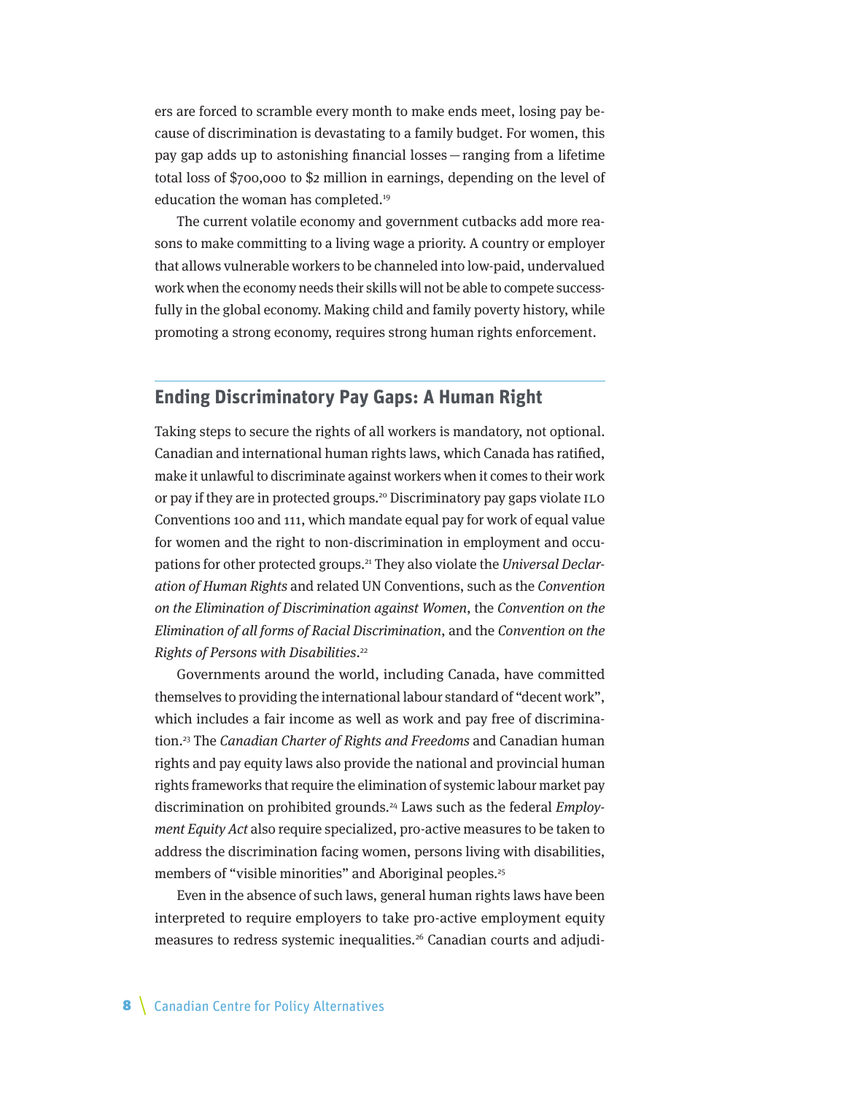<span id="page-7-0"></span>ers are forced to scramble every month to make ends meet, losing pay because of discrimination is devastating to a family budget. For women, this pay gap adds up to astonishing financial losses—ranging from a lifetime total loss of \$700,000 to \$2 million in earnings, depending on the level of education the woman has completed.19

The current volatile economy and government cutbacks add more reasons to make committing to a living wage a priority. A country or employer that allows vulnerable workers to be channeled into low-paid, undervalued work when the economy needs their skills will not be able to compete successfully in the global economy. Making child and family poverty history, while promoting a strong economy, requires strong human rights enforcement.

## **Ending Discriminatory Pay Gaps: A Human Right**

Taking steps to secure the rights of all workers is mandatory, not optional. Canadian and international human rights laws, which Canada has ratified, make it unlawful to discriminate against workers when it comes to their work or pay if they are in protected groups.20 Discriminatory pay gaps violate ILO Conventions 100 and 111, which mandate equal pay for work of equal value for women and the right to non-discrimination in employment and occupations for other protected groups.21 They also violate the Universal Declaration of Human Rights and related UN Conventions, such as the Convention on the Elimination of Discrimination against Women, the Convention on the Elimination of all forms of Racial Discrimination, and the Convention on the Rights of Persons with Disabilities.<sup>22</sup>

Governments around the world, including Canada, have committed themselves to providing the international labour standard of "decent work", which includes a fair income as well as work and pay free of discrimination.<sup>23</sup> The Canadian Charter of Rights and Freedoms and Canadian human rights and pay equity laws also provide the national and provincial human rights frameworks that require the elimination of systemic labour market pay discrimination on prohibited grounds.<sup>24</sup> Laws such as the federal *Employ*ment Equity Act also require specialized, pro-active measures to be taken to address the discrimination facing women, persons living with disabilities, members of "visible minorities" and Aboriginal peoples.<sup>25</sup>

Even in the absence of such laws, general human rights laws have been interpreted to require employers to take pro-active employment equity measures to redress systemic inequalities.<sup>26</sup> Canadian courts and adjudi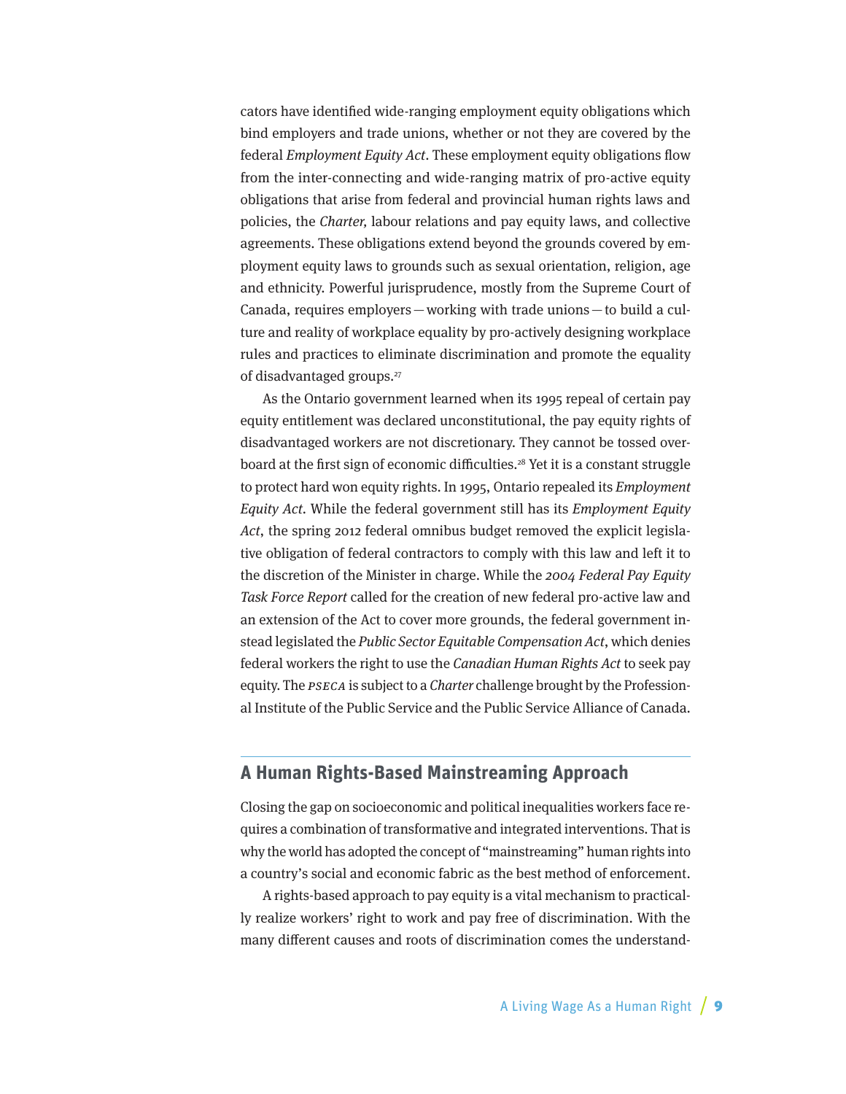<span id="page-8-0"></span>cators have identified wide-ranging employment equity obligations which bind employers and trade unions, whether or not they are covered by the federal Employment Equity Act. These employment equity obligations flow from the inter-connecting and wide-ranging matrix of pro-active equity obligations that arise from federal and provincial human rights laws and policies, the Charter, labour relations and pay equity laws, and collective agreements. These obligations extend beyond the grounds covered by employment equity laws to grounds such as sexual orientation, religion, age and ethnicity. Powerful jurisprudence, mostly from the Supreme Court of Canada, requires employers—working with trade unions—to build a culture and reality of workplace equality by pro-actively designing workplace rules and practices to eliminate discrimination and promote the equality of disadvantaged groups.27

As the Ontario government learned when its 1995 repeal of certain pay equity entitlement was declared unconstitutional, the pay equity rights of disadvantaged workers are not discretionary. They cannot be tossed overboard at the first sign of economic difficulties.28 Yet it is a constant struggle to protect hard won equity rights. In 1995, Ontario repealed its Employment Equity Act. While the federal government still has its Employment Equity Act, the spring 2012 federal omnibus budget removed the explicit legislative obligation of federal contractors to comply with this law and left it to the discretion of the Minister in charge. While the 2004 Federal Pay Equity Task Force Report called for the creation of new federal pro-active law and an extension of the Act to cover more grounds, the federal government instead legislated the Public Sector Equitable Compensation Act, which denies federal workers the right to use the Canadian Human Rights Act to seek pay equity. The PSECA is subject to a Charter challenge brought by the Professional Institute of the Public Service and the Public Service Alliance of Canada.

## **A Human Rights-Based Mainstreaming Approach**

Closing the gap on socioeconomic and political inequalities workers face requires a combination of transformative and integrated interventions. That is why the world has adopted the concept of "mainstreaming" human rights into a country's social and economic fabric as the best method of enforcement.

A rights-based approach to pay equity is a vital mechanism to practically realize workers' right to work and pay free of discrimination. With the many different causes and roots of discrimination comes the understand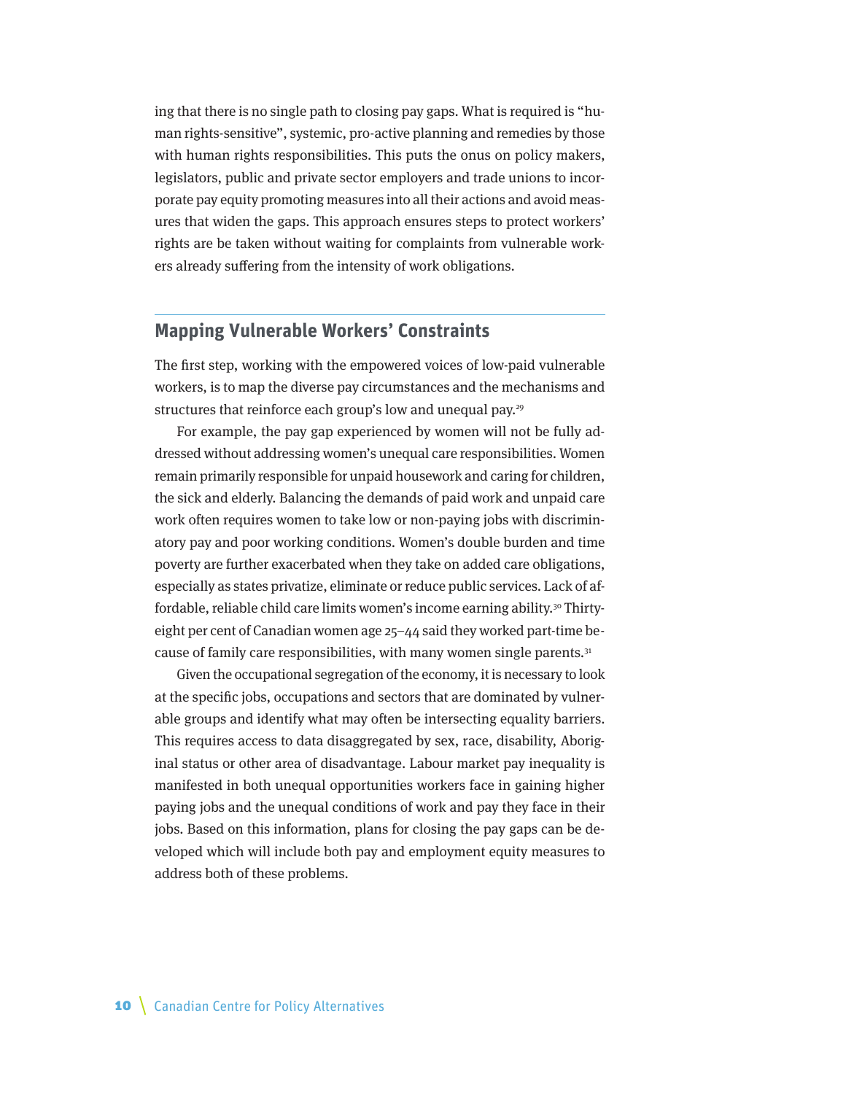<span id="page-9-0"></span>ing that there is no single path to closing pay gaps. What is required is "human rights-sensitive", systemic, pro-active planning and remedies by those with human rights responsibilities. This puts the onus on policy makers, legislators, public and private sector employers and trade unions to incorporate pay equity promoting measures into all their actions and avoid measures that widen the gaps. This approach ensures steps to protect workers' rights are be taken without waiting for complaints from vulnerable workers already suffering from the intensity of work obligations.

#### **Mapping Vulnerable Workers' Constraints**

The first step, working with the empowered voices of low-paid vulnerable workers, is to map the diverse pay circumstances and the mechanisms and structures that reinforce each group's low and unequal pay.<sup>29</sup>

For example, the pay gap experienced by women will not be fully addressed without addressing women's unequal care responsibilities. Women remain primarily responsible for unpaid housework and caring for children, the sick and elderly. Balancing the demands of paid work and unpaid care work often requires women to take low or non-paying jobs with discriminatory pay and poor working conditions. Women's double burden and time poverty are further exacerbated when they take on added care obligations, especially as states privatize, eliminate or reduce public services. Lack of affordable, reliable child care limits women's income earning ability.<sup>30</sup> Thirtyeight per cent of Canadian women age 25–44 said they worked part-time because of family care responsibilities, with many women single parents.31

Given the occupational segregation of the economy, it is necessary to look at the specific jobs, occupations and sectors that are dominated by vulnerable groups and identify what may often be intersecting equality barriers. This requires access to data disaggregated by sex, race, disability, Aboriginal status or other area of disadvantage. Labour market pay inequality is manifested in both unequal opportunities workers face in gaining higher paying jobs and the unequal conditions of work and pay they face in their jobs. Based on this information, plans for closing the pay gaps can be developed which will include both pay and employment equity measures to address both of these problems.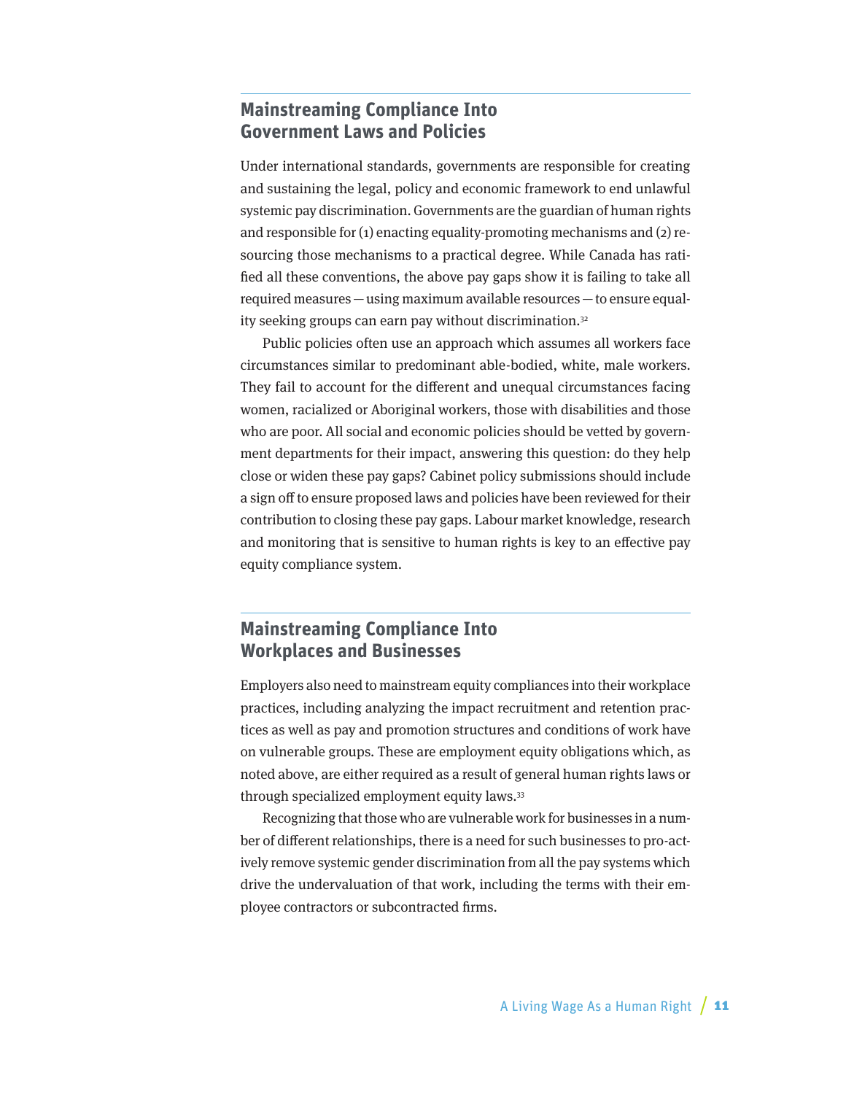## <span id="page-10-0"></span>**Mainstreaming Compliance Into Government Laws and Policies**

Under international standards, governments are responsible for creating and sustaining the legal, policy and economic framework to end unlawful systemic pay discrimination. Governments are the guardian of human rights and responsible for (1) enacting equality-promoting mechanisms and (2) resourcing those mechanisms to a practical degree. While Canada has ratified all these conventions, the above pay gaps show it is failing to take all required measures—using maximum available resources—to ensure equality seeking groups can earn pay without discrimination.<sup>32</sup>

Public policies often use an approach which assumes all workers face circumstances similar to predominant able-bodied, white, male workers. They fail to account for the different and unequal circumstances facing women, racialized or Aboriginal workers, those with disabilities and those who are poor. All social and economic policies should be vetted by government departments for their impact, answering this question: do they help close or widen these pay gaps? Cabinet policy submissions should include a sign off to ensure proposed laws and policies have been reviewed for their contribution to closing these pay gaps. Labour market knowledge, research and monitoring that is sensitive to human rights is key to an effective pay equity compliance system.

## **Mainstreaming Compliance Into Workplaces and Businesses**

Employers also need to mainstream equity compliances into their workplace practices, including analyzing the impact recruitment and retention practices as well as pay and promotion structures and conditions of work have on vulnerable groups. These are employment equity obligations which, as noted above, are either required as a result of general human rights laws or through specialized employment equity laws.33

Recognizing that those who are vulnerable work for businesses in a number of different relationships, there is a need for such businesses to pro-actively remove systemic gender discrimination from all the pay systems which drive the undervaluation of that work, including the terms with their employee contractors or subcontracted firms.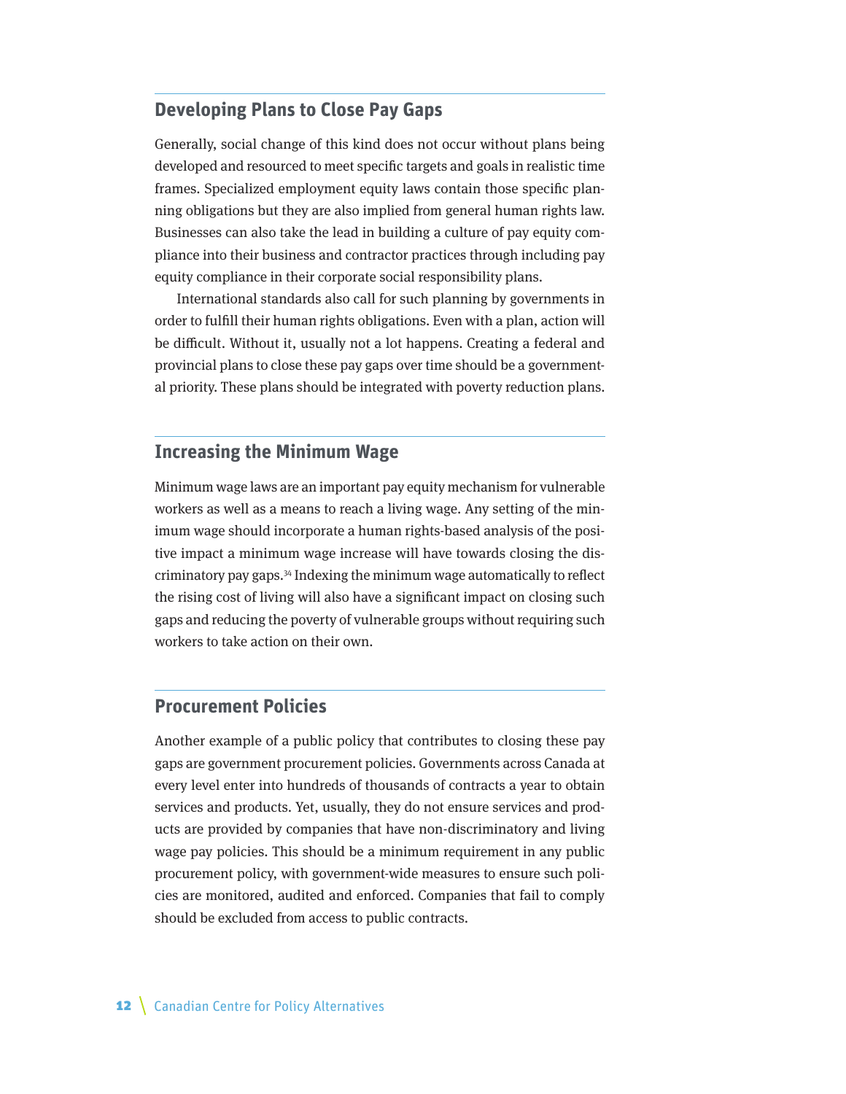### <span id="page-11-0"></span>**Developing Plans to Close Pay Gaps**

Generally, social change of this kind does not occur without plans being developed and resourced to meet specific targets and goals in realistic time frames. Specialized employment equity laws contain those specific planning obligations but they are also implied from general human rights law. Businesses can also take the lead in building a culture of pay equity compliance into their business and contractor practices through including pay equity compliance in their corporate social responsibility plans.

International standards also call for such planning by governments in order to fulfill their human rights obligations. Even with a plan, action will be difficult. Without it, usually not a lot happens. Creating a federal and provincial plans to close these pay gaps over time should be a governmental priority. These plans should be integrated with poverty reduction plans.

## **Increasing the Minimum Wage**

Minimum wage laws are an important pay equity mechanism for vulnerable workers as well as a means to reach a living wage. Any setting of the minimum wage should incorporate a human rights-based analysis of the positive impact a minimum wage increase will have towards closing the discriminatory pay gaps.34 Indexing the minimum wage automatically to reflect the rising cost of living will also have a significant impact on closing such gaps and reducing the poverty of vulnerable groups without requiring such workers to take action on their own.

#### **Procurement Policies**

Another example of a public policy that contributes to closing these pay gaps are government procurement policies. Governments across Canada at every level enter into hundreds of thousands of contracts a year to obtain services and products. Yet, usually, they do not ensure services and products are provided by companies that have non-discriminatory and living wage pay policies. This should be a minimum requirement in any public procurement policy, with government-wide measures to ensure such policies are monitored, audited and enforced. Companies that fail to comply should be excluded from access to public contracts.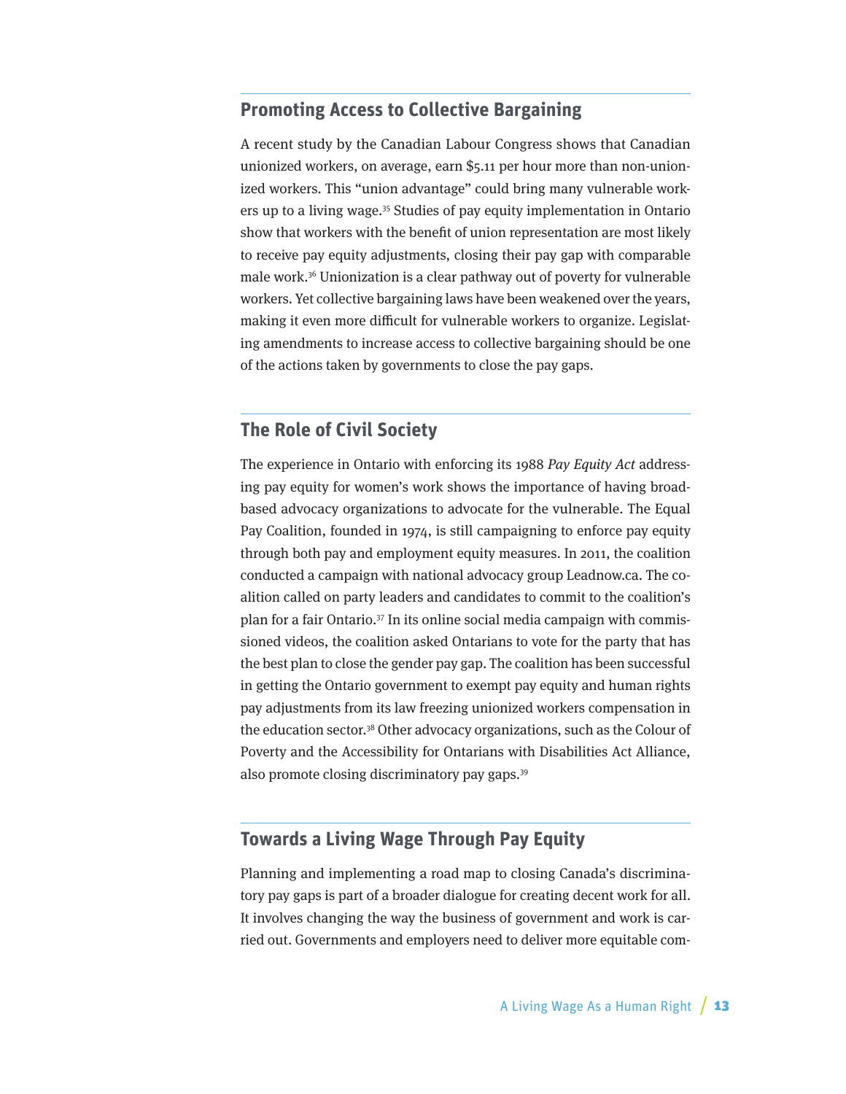#### <span id="page-12-0"></span>**Promoting Access to Collective Bargaining**

A recent study by the Canadian Labour Congress shows that Canadian unionized workers, on average, earn \$5.11 per hour more than non-unionized workers. This "union advantage" could bring many vulnerable workers up to a living wage.<sup>35</sup> Studies of pay equity implementation in Ontario show that workers with the benefit of union representation are most likely to receive pay equity adjustments, closing their pay gap with comparable male work.36 Unionization is a clear pathway out of poverty for vulnerable workers. Yet collective bargaining laws have been weakened over the years, making it even more difficult for vulnerable workers to organize. Legislating amendments to increase access to collective bargaining should be one of the actions taken by governments to close the pay gaps.

#### **The Role of Civil Society**

The experience in Ontario with enforcing its 1988 Pay Equity Act addressing pay equity for women's work shows the importance of having broadbased advocacy organizations to advocate for the vulnerable. The Equal Pay Coalition, founded in 1974, is still campaigning to enforce pay equity through both pay and employment equity measures. In 2011, the coalition conducted a campaign with national advocacy group Leadnow.ca. The coalition called on party leaders and candidates to commit to the coalition's plan for a fair Ontario.37 In its online social media campaign with commissioned videos, the coalition asked Ontarians to vote for the party that has the best plan to close the gender pay gap. The coalition has been successful in getting the Ontario government to exempt pay equity and human rights pay adjustments from its law freezing unionized workers compensation in the education sector.38 Other advocacy organizations, such as the Colour of Poverty and the Accessibility for Ontarians with Disabilities Act Alliance, also promote closing discriminatory pay gaps.39

#### **Towards a Living Wage Through Pay Equity**

Planning and implementing a road map to closing Canada's discriminatory pay gaps is part of a broader dialogue for creating decent work for all. It involves changing the way the business of government and work is carried out. Governments and employers need to deliver more equitable com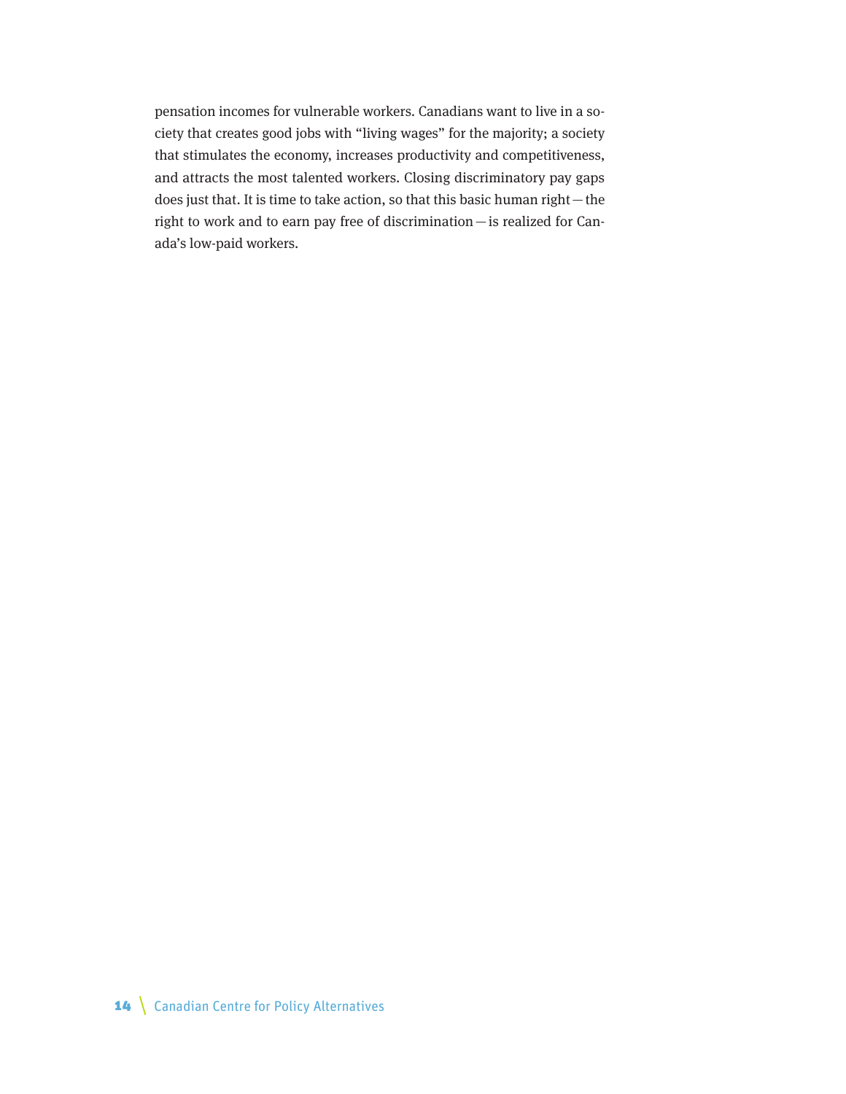pensation incomes for vulnerable workers. Canadians want to live in a society that creates good jobs with "living wages" for the majority; a society that stimulates the economy, increases productivity and competitiveness, and attracts the most talented workers. Closing discriminatory pay gaps does just that. It is time to take action, so that this basic human right—the right to work and to earn pay free of discrimination—is realized for Canada's low-paid workers.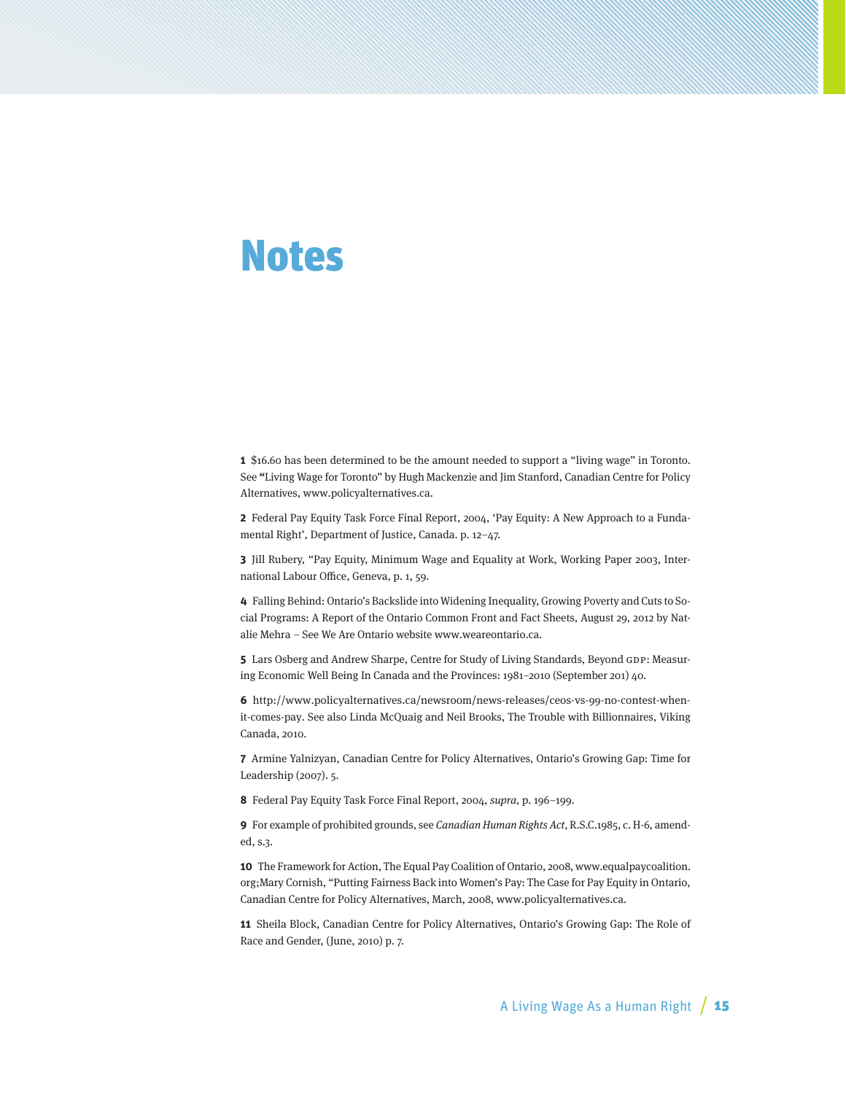# Notes

**1** \$16.60 has been determined to be the amount needed to support a "living wage" in Toronto. See **"**Living Wage for Toronto" by Hugh Mackenzie and Jim Stanford, Canadian Centre for Policy Alternatives, www.policyalternatives.ca.

**2** Federal Pay Equity Task Force Final Report, 2004, 'Pay Equity: A New Approach to a Fundamental Right', Department of Justice, Canada. p. 12–47.

**3** Jill Rubery, "Pay Equity, Minimum Wage and Equality at Work, Working Paper 2003, International Labour Office, Geneva, p. 1, 59.

**4** Falling Behind: Ontario's Backslide into Widening Inequality, Growing Poverty and Cuts to Social Programs: A Report of the Ontario Common Front and Fact Sheets, August 29, 2012 by Natalie Mehra – See We Are Ontario website www.weareontario.ca.

**5** Lars Osberg and Andrew Sharpe, Centre for Study of Living Standards, Beyond GDP: Measuring Economic Well Being In Canada and the Provinces: 1981–2010 (September 201) 40.

**6** http://www.policyalternatives.ca/newsroom/news-releases/ceos-vs-99-no-contest-whenit-comes-pay. See also Linda McQuaig and Neil Brooks, The Trouble with Billionnaires, Viking Canada, 2010.

**7** Armine Yalnizyan, Canadian Centre for Policy Alternatives, Ontario's Growing Gap: Time for Leadership (2007). 5.

**8** Federal Pay Equity Task Force Final Report, 2004, supra, p. 196–199.

**9** For example of prohibited grounds, see Canadian Human Rights Act, R.S.C.1985, c. H-6, amended, s.3.

**10** The Framework for Action, The Equal Pay Coalition of Ontario, 2008, www.equalpaycoalition. org;Mary Cornish, "Putting Fairness Back into Women's Pay: The Case for Pay Equity in Ontario, Canadian Centre for Policy Alternatives, March, 2008, www.policyalternatives.ca.

**11** Sheila Block, Canadian Centre for Policy Alternatives, Ontario's Growing Gap: The Role of Race and Gender, (June, 2010) p. 7.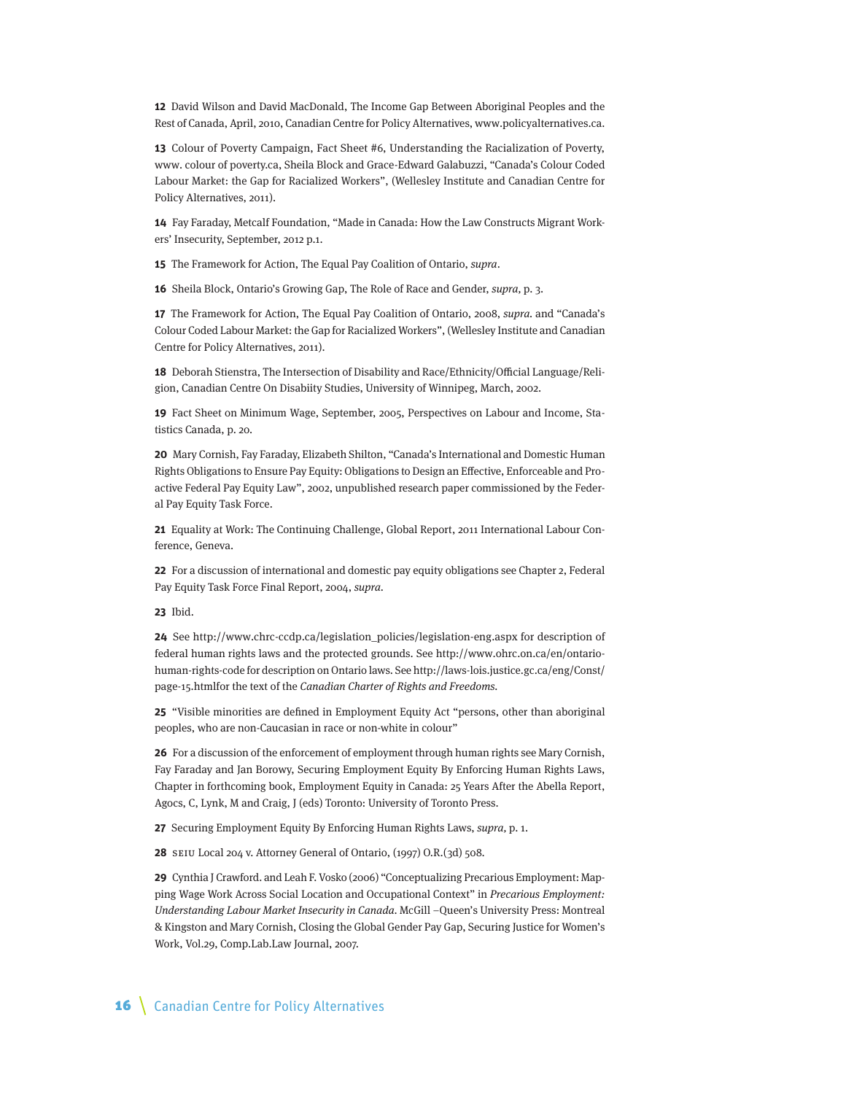**12** David Wilson and David MacDonald, The Income Gap Between Aboriginal Peoples and the Rest of Canada, April, 2010, Canadian Centre for Policy Alternatives, www.policyalternatives.ca.

**13** Colour of Poverty Campaign, Fact Sheet #6, Understanding the Racialization of Poverty, www. colour of poverty.ca, Sheila Block and Grace-Edward Galabuzzi, "Canada's Colour Coded Labour Market: the Gap for Racialized Workers", (Wellesley Institute and Canadian Centre for Policy Alternatives, 2011).

**14** Fay Faraday, Metcalf Foundation, "Made in Canada: How the Law Constructs Migrant Workers' Insecurity, September, 2012 p.1.

**15** The Framework for Action, The Equal Pay Coalition of Ontario, supra.

**16** Sheila Block, Ontario's Growing Gap, The Role of Race and Gender, supra, p. 3.

**17** The Framework for Action, The Equal Pay Coalition of Ontario, 2008, supra. and "Canada's Colour Coded Labour Market: the Gap for Racialized Workers", (Wellesley Institute and Canadian Centre for Policy Alternatives, 2011).

**18** Deborah Stienstra, The Intersection of Disability and Race/Ethnicity/Official Language/Religion, Canadian Centre On Disabiity Studies, University of Winnipeg, March, 2002.

**19** Fact Sheet on Minimum Wage, September, 2005, Perspectives on Labour and Income, Statistics Canada, p. 20.

**20** Mary Cornish, Fay Faraday, Elizabeth Shilton, "Canada's International and Domestic Human Rights Obligations to Ensure Pay Equity: Obligations to Design an Effective, Enforceable and Proactive Federal Pay Equity Law", 2002, unpublished research paper commissioned by the Federal Pay Equity Task Force.

**21** Equality at Work: The Continuing Challenge, Global Report, 2011 International Labour Conference, Geneva.

**22** For a discussion of international and domestic pay equity obligations see Chapter 2, Federal Pay Equity Task Force Final Report, 2004, supra.

**23** Ibid.

**24** See http://www.chrc-ccdp.ca/legislation\_policies/legislation-eng.aspx for description of federal human rights laws and the protected grounds. See http://www.ohrc.on.ca/en/ontariohuman-rights-code for description on Ontario laws. See http://laws-lois.justice.gc.ca/eng/Const/ page-15.htmlfor the text of the Canadian Charter of Rights and Freedoms.

**25** "Visible minorities are defined in Employment Equity Act "persons, other than aboriginal peoples, who are non-Caucasian in race or non-white in colour"

**26** For a discussion of the enforcement of employment through human rights see Mary Cornish, Fay Faraday and Jan Borowy, Securing Employment Equity By Enforcing Human Rights Laws, Chapter in forthcoming book, Employment Equity in Canada: 25 Years After the Abella Report, Agocs, C, Lynk, M and Craig, J (eds) Toronto: University of Toronto Press.

**27** Securing Employment Equity By Enforcing Human Rights Laws, supra, p. 1.

**28** SEIU Local 204 v. Attorney General of Ontario, (1997) O.R.(3d) 508.

**29** Cynthia J Crawford. and Leah F. Vosko (2006) "Conceptualizing Precarious Employment: Mapping Wage Work Across Social Location and Occupational Context" in Precarious Employment: Understanding Labour Market Insecurity in Canada. McGill –Queen's University Press: Montreal & Kingston and Mary Cornish, Closing the Global Gender Pay Gap, Securing Justice for Women's Work, Vol.29, Comp.Lab.Law Journal, 2007.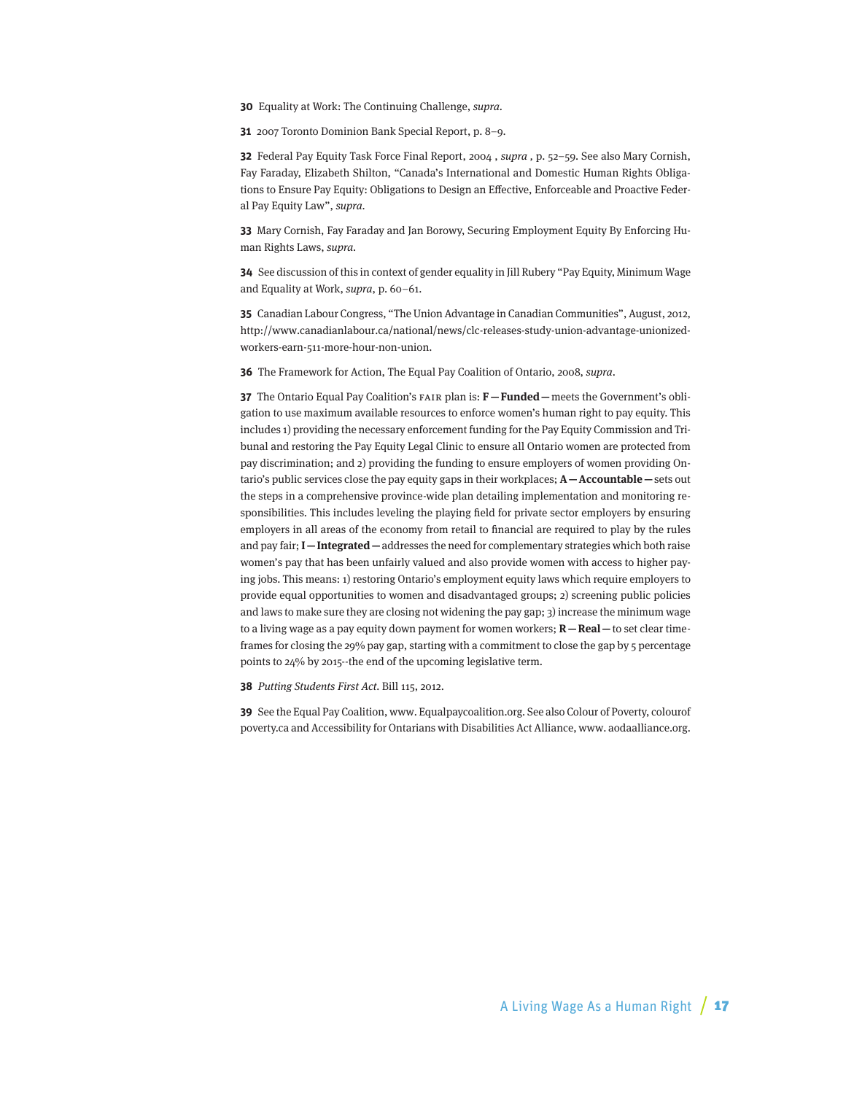**30** Equality at Work: The Continuing Challenge, supra.

**31** 2007 Toronto Dominion Bank Special Report, p. 8–9.

**32** Federal Pay Equity Task Force Final Report, 2004 , supra , p. 52–59. See also Mary Cornish, Fay Faraday, Elizabeth Shilton, "Canada's International and Domestic Human Rights Obligations to Ensure Pay Equity: Obligations to Design an Effective, Enforceable and Proactive Federal Pay Equity Law", supra.

**33** Mary Cornish, Fay Faraday and Jan Borowy, Securing Employment Equity By Enforcing Human Rights Laws, supra.

**34** See discussion of this in context of gender equality in Jill Rubery "Pay Equity, Minimum Wage and Equality at Work, supra, p. 60–61.

**35** Canadian Labour Congress, "The Union Advantage in Canadian Communities", August, 2012, http://www.canadianlabour.ca/national/news/clc-releases-study-union-advantage-unionizedworkers-earn-511-more-hour-non-union.

**36** The Framework for Action, The Equal Pay Coalition of Ontario, 2008, supra.

**37** The Ontario Equal Pay Coalition's FAIR plan is: **F—Funded—**meets the Government's obligation to use maximum available resources to enforce women's human right to pay equity. This includes 1) providing the necessary enforcement funding for the Pay Equity Commission and Tribunal and restoring the Pay Equity Legal Clinic to ensure all Ontario women are protected from pay discrimination; and 2) providing the funding to ensure employers of women providing Ontario's public services close the pay equity gaps in their workplaces; **A—Accountable—**sets out the steps in a comprehensive province-wide plan detailing implementation and monitoring responsibilities. This includes leveling the playing field for private sector employers by ensuring employers in all areas of the economy from retail to financial are required to play by the rules and pay fair; **I—Integrated—**addresses the need for complementary strategies which both raise women's pay that has been unfairly valued and also provide women with access to higher paying jobs. This means: 1) restoring Ontario's employment equity laws which require employers to provide equal opportunities to women and disadvantaged groups; 2) screening public policies and laws to make sure they are closing not widening the pay gap; 3) increase the minimum wage to a living wage as a pay equity down payment for women workers; **R—Real—**to set clear timeframes for closing the 29% pay gap, starting with a commitment to close the gap by 5 percentage points to 24% by 2015--the end of the upcoming legislative term.

**38** Putting Students First Act. Bill 115, 2012.

**39** See the Equal Pay Coalition, www. Equalpaycoalition.org. See also Colour of Poverty, colourof poverty.ca and Accessibility for Ontarians with Disabilities Act Alliance, www. aodaalliance.org.